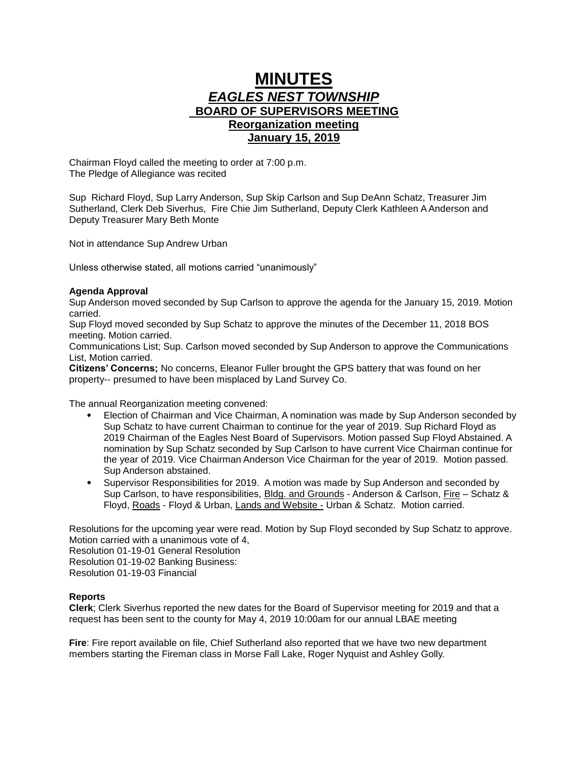## **MINUTES** *EAGLES NEST TOWNSHIP*  **BOARD OF SUPERVISORS MEETING Reorganization meeting January 15, 2019**

Chairman Floyd called the meeting to order at 7:00 p.m. The Pledge of Allegiance was recited

Sup Richard Floyd, Sup Larry Anderson, Sup Skip Carlson and Sup DeAnn Schatz, Treasurer Jim Sutherland, Clerk Deb Siverhus, Fire Chie Jim Sutherland, Deputy Clerk Kathleen A Anderson and Deputy Treasurer Mary Beth Monte

Not in attendance Sup Andrew Urban

Unless otherwise stated, all motions carried "unanimously"

## **Agenda Approval**

Sup Anderson moved seconded by Sup Carlson to approve the agenda for the January 15, 2019. Motion carried.

Sup Floyd moved seconded by Sup Schatz to approve the minutes of the December 11, 2018 BOS meeting. Motion carried.

Communications List; Sup. Carlson moved seconded by Sup Anderson to approve the Communications List, Motion carried.

**Citizens' Concerns;** No concerns, Eleanor Fuller brought the GPS battery that was found on her property-- presumed to have been misplaced by Land Survey Co.

The annual Reorganization meeting convened:

- Election of Chairman and Vice Chairman, A nomination was made by Sup Anderson seconded by Sup Schatz to have current Chairman to continue for the year of 2019. Sup Richard Floyd as 2019 Chairman of the Eagles Nest Board of Supervisors. Motion passed Sup Floyd Abstained. A nomination by Sup Schatz seconded by Sup Carlson to have current Vice Chairman continue for the year of 2019. Vice Chairman Anderson Vice Chairman for the year of 2019. Motion passed. Sup Anderson abstained.
- Supervisor Responsibilities for 2019. A motion was made by Sup Anderson and seconded by Sup Carlson, to have responsibilities, Bldg. and Grounds - Anderson & Carlson, Fire - Schatz & Floyd, Roads - Floyd & Urban, Lands and Website - Urban & Schatz. Motion carried.

Resolutions for the upcoming year were read. Motion by Sup Floyd seconded by Sup Schatz to approve. Motion carried with a unanimous vote of 4,

Resolution 01-19-01 General Resolution

Resolution 01-19-02 Banking Business:

Resolution 01-19-03 Financial

## **Reports**

**Clerk**; Clerk Siverhus reported the new dates for the Board of Supervisor meeting for 2019 and that a request has been sent to the county for May 4, 2019 10:00am for our annual LBAE meeting

**Fire**: Fire report available on file, Chief Sutherland also reported that we have two new department members starting the Fireman class in Morse Fall Lake, Roger Nyquist and Ashley Golly.